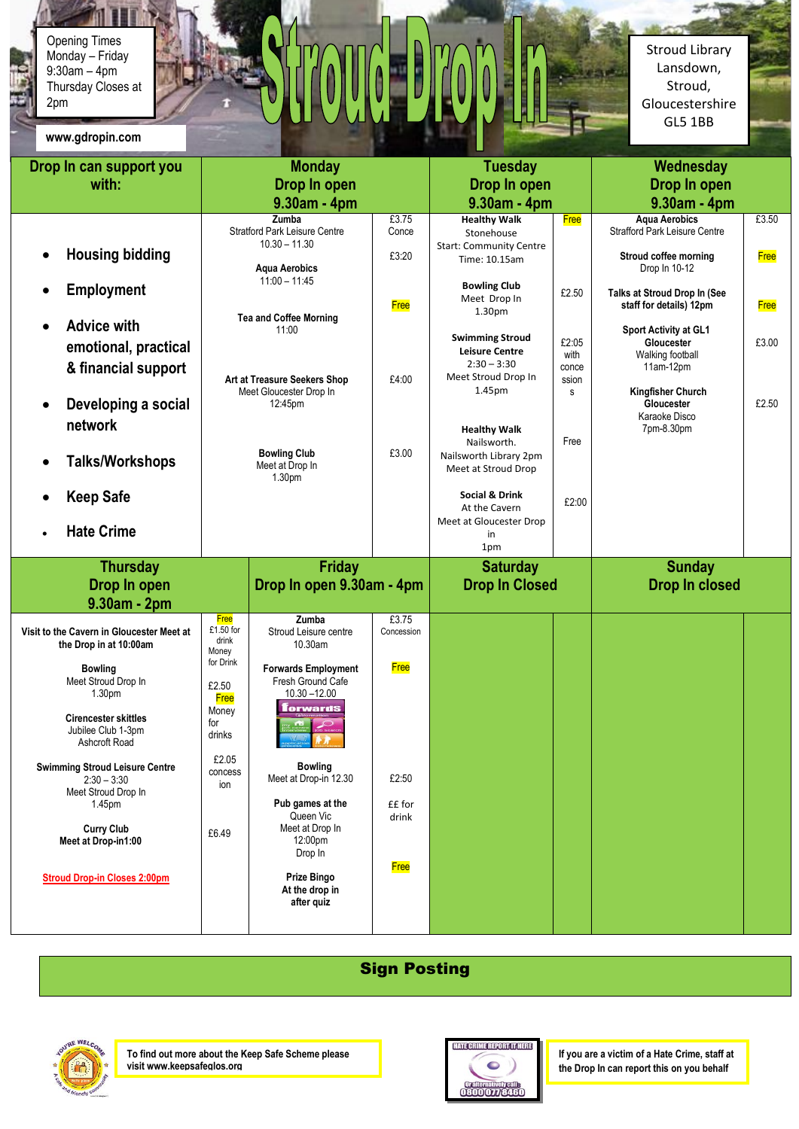9:30am – 4pm Opening Times Monday – Friday Thursday Closes at 2pm

**www.gdropin.com**

Stroud Library Lansdown, Stroud, Gloucestershire GL5 1BB

 $\mathcal{P}^{\mathcal{C}}$ 

| www.guropm.com                                                                |                                                                             |                                                                        |                     |                                                                                         |                                 |                                                                        |             |
|-------------------------------------------------------------------------------|-----------------------------------------------------------------------------|------------------------------------------------------------------------|---------------------|-----------------------------------------------------------------------------------------|---------------------------------|------------------------------------------------------------------------|-------------|
| Drop In can support you<br>with:                                              |                                                                             | <b>Monday</b><br>Drop In open<br>$9.30am - 4pm$                        |                     | <b>Tuesday</b><br>Drop In open<br>$9.30am - 4pm$                                        |                                 | Wednesday<br>Drop In open<br>9.30am - 4pm                              |             |
|                                                                               |                                                                             | <b>Zumba</b><br><b>Stratford Park Leisure Centre</b>                   | £3.75<br>Conce      | <b>Healthy Walk</b><br>Stonehouse                                                       | <b>Free</b>                     | <b>Aqua Aerobics</b><br><b>Strafford Park Leisure Centre</b>           | £3.50       |
| <b>Housing bidding</b>                                                        |                                                                             | $10.30 - 11.30$<br><b>Aqua Aerobics</b>                                | £3:20               | <b>Start: Community Centre</b><br>Time: 10.15am                                         |                                 | Stroud coffee morning<br>Drop In 10-12                                 | <b>Free</b> |
| <b>Employment</b>                                                             |                                                                             | $11:00 - 11:45$<br><b>Tea and Coffee Morning</b>                       | <b>Free</b>         | <b>Bowling Club</b><br>Meet Drop In<br>1.30 <sub>pm</sub>                               | £2.50                           | Talks at Stroud Drop In (See<br>staff for details) 12pm                | <b>Free</b> |
| <b>Advice with</b><br>emotional, practical<br>& financial support             | 11:00<br>Art at Treasure Seekers Shop<br>Meet Gloucester Drop In<br>12:45pm |                                                                        | £4:00               | <b>Swimming Stroud</b><br><b>Leisure Centre</b><br>$2:30 - 3:30$<br>Meet Stroud Drop In | £2:05<br>with<br>conce<br>ssion | Sport Activity at GL1<br>Gloucester<br>Walking football<br>$11am-12pm$ | £3.00       |
| Developing a social<br>network                                                |                                                                             |                                                                        |                     | 1.45pm<br><b>Healthy Walk</b>                                                           | s                               | <b>Kingfisher Church</b><br>Gloucester<br>Karaoke Disco<br>7pm-8.30pm  | £2.50       |
| <b>Talks/Workshops</b>                                                        | <b>Bowling Club</b><br>Meet at Drop In<br>1.30pm                            |                                                                        | £3.00               | Nailsworth.<br>Nailsworth Library 2pm<br>Meet at Stroud Drop                            | Free                            |                                                                        |             |
| <b>Keep Safe</b>                                                              |                                                                             |                                                                        |                     | <b>Social &amp; Drink</b><br>At the Cavern                                              | £2:00                           |                                                                        |             |
| <b>Hate Crime</b>                                                             |                                                                             |                                                                        |                     | Meet at Gloucester Drop<br>in<br>1pm                                                    |                                 |                                                                        |             |
| <b>Thursday</b>                                                               |                                                                             | <b>Friday</b>                                                          |                     | <b>Saturday</b>                                                                         |                                 | <b>Sunday</b>                                                          |             |
| Drop In open                                                                  | Drop In open 9.30am - 4pm                                                   |                                                                        |                     | <b>Drop In Closed</b>                                                                   |                                 | <b>Drop In closed</b>                                                  |             |
| 9.30am - 2pm                                                                  |                                                                             |                                                                        |                     |                                                                                         |                                 |                                                                        |             |
| Visit to the Cavern in Gloucester Meet at<br>the Drop in at 10:00am           | <b>Free</b><br>£1.50 for<br>drink<br>Money                                  | <b>Zumba</b><br>Stroud Leisure centre<br>10.30am                       | £3.75<br>Concession |                                                                                         |                                 |                                                                        |             |
| <b>Bowling</b><br>Meet Stroud Drop In<br>1.30 <sub>pm</sub>                   | for Drink<br>£2.50<br><b>Free</b>                                           | <b>Forwards Employment</b><br>Fresh Ground Cafe<br>$10.30 - 12.00$     | <b>Free</b>         |                                                                                         |                                 |                                                                        |             |
| <b>Cirencester skittles</b><br>Jubilee Club 1-3pm<br>Ashcroft Road            | Money<br>for<br>drinks                                                      | <b>forwards</b><br>application <b>ALLA</b>                             |                     |                                                                                         |                                 |                                                                        |             |
| <b>Swimming Stroud Leisure Centre</b><br>$2:30 - 3:30$<br>Meet Stroud Drop In | £2.05<br>concess<br>ion                                                     | <b>Bowling</b><br>Meet at Drop-in 12.30                                | £2:50               |                                                                                         |                                 |                                                                        |             |
| 1.45 <sub>pm</sub><br><b>Curry Club</b><br>Meet at Drop-in1:00                | £6.49                                                                       | Pub games at the<br>Queen Vic<br>Meet at Drop In<br>12:00pm<br>Drop In | ££ for<br>drink     |                                                                                         |                                 |                                                                        |             |
| <b>Stroud Drop-in Closes 2:00pm</b>                                           |                                                                             | Prize Bingo<br>At the drop in<br>after quiz                            | <b>Free</b>         |                                                                                         |                                 |                                                                        |             |

## Sign Posting



**To find out more about the Keep Safe Scheme please visit www.keepsafeglos.org**



**If you are a victim of a Hate Crime, staff at the Drop In can report this on you behalf**